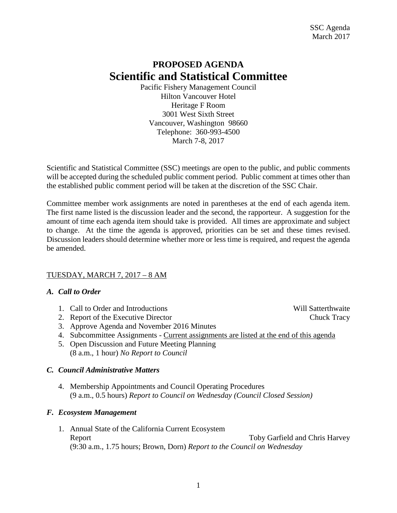## **PROPOSED AGENDA Scientific and Statistical Committee**

Pacific Fishery Management Council Hilton Vancouver Hotel Heritage F Room 3001 West Sixth Street Vancouver, Washington 98660 Telephone: 360-993-4500 March 7-8, 2017

Scientific and Statistical Committee (SSC) meetings are open to the public, and public comments will be accepted during the scheduled public comment period. Public comment at times other than the established public comment period will be taken at the discretion of the SSC Chair.

Committee member work assignments are noted in parentheses at the end of each agenda item. The first name listed is the discussion leader and the second, the rapporteur. A suggestion for the amount of time each agenda item should take is provided. All times are approximate and subject to change. At the time the agenda is approved, priorities can be set and these times revised. Discussion leaders should determine whether more or less time is required, and request the agenda be amended.

#### TUESDAY, MARCH 7, 2017 – 8 AM

#### *A. Call to Order*

- 1. Call to Order and Introductions and Will Satterthwaite
- 2. Report of the Executive Director Chuck Tracy
- 3. Approve Agenda and November 2016 Minutes
- 4. Subcommittee Assignments Current assignments are listed at the end of this agenda
- 5. Open Discussion and Future Meeting Planning (8 a.m., 1 hour) *No Report to Council*

#### *C. Council Administrative Matters*

4. Membership Appointments and Council Operating Procedures (9 a.m., 0.5 hours) *Report to Council on Wednesday (Council Closed Session)*

#### *F. Ecosystem Management*

1. Annual State of the California Current Ecosystem Report Toby Garfield and Chris Harvey (9:30 a.m., 1.75 hours; Brown, Dorn) *Report to the Council on Wednesday*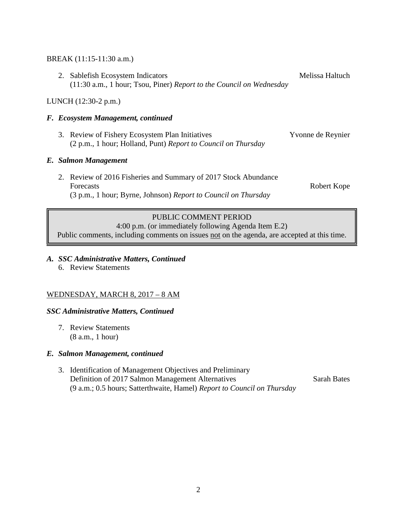#### BREAK (11:15-11:30 a.m.)

2. Sablefish Ecosystem Indicators Melissa Haltuch (11:30 a.m., 1 hour; Tsou, Piner) *Report to the Council on Wednesday*

#### LUNCH (12:30-2 p.m.)

#### *F. Ecosystem Management, continued*

3. Review of Fishery Ecosystem Plan Initiatives Yvonne de Reynier (2 p.m., 1 hour; Holland, Punt) *Report to Council on Thursday*

#### *E. Salmon Management*

2. Review of 2016 Fisheries and Summary of 2017 Stock Abundance Forecasts **Robert Kope** (3 p.m., 1 hour; Byrne, Johnson) *Report to Council on Thursday*

#### PUBLIC COMMENT PERIOD

4:00 p.m. (or immediately following Agenda Item E.2)

Public comments, including comments on issues not on the agenda, are accepted at this time.

#### *A. SSC Administrative Matters, Continued*

6. Review Statements

#### WEDNESDAY, MARCH 8, 2017 – 8 AM

#### *SSC Administrative Matters, Continued*

7. Review Statements (8 a.m., 1 hour)

#### *E. Salmon Management, continued*

3. Identification of Management Objectives and Preliminary Definition of 2017 Salmon Management Alternatives Sarah Bates (9 a.m.; 0.5 hours; Satterthwaite, Hamel) *Report to Council on Thursday*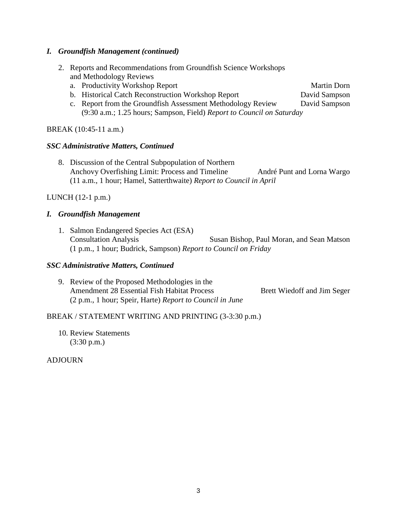### *I. Groundfish Management (continued)*

- 2. Reports and Recommendations from Groundfish Science Workshops and Methodology Reviews
	- a. Productivity Workshop Report Martin Dorn Martin Dorn
	- b. Historical Catch Reconstruction Workshop Report David Sampson
	- c. Report from the Groundfish Assessment Methodology Review David Sampson (9:30 a.m.; 1.25 hours; Sampson, Field) *Report to Council on Saturday*

## BREAK (10:45-11 a.m.)

## *SSC Administrative Matters, Continued*

8. Discussion of the Central Subpopulation of Northern Anchovy Overfishing Limit: Process and Timeline André Punt and Lorna Wargo (11 a.m., 1 hour; Hamel, Satterthwaite) *Report to Council in April*

## LUNCH (12-1 p.m.)

## *I. Groundfish Management*

1. Salmon Endangered Species Act (ESA) Consultation Analysis Susan Bishop, Paul Moran, and Sean Matson (1 p.m., 1 hour; Budrick, Sampson) *Report to Council on Friday*

## *SSC Administrative Matters, Continued*

9. Review of the Proposed Methodologies in the Amendment 28 Essential Fish Habitat Process Brett Wiedoff and Jim Seger (2 p.m., 1 hour; Speir, Harte) *Report to Council in June*

## BREAK / STATEMENT WRITING AND PRINTING (3-3:30 p.m.)

10. Review Statements (3:30 p.m.)

## **ADJOURN**